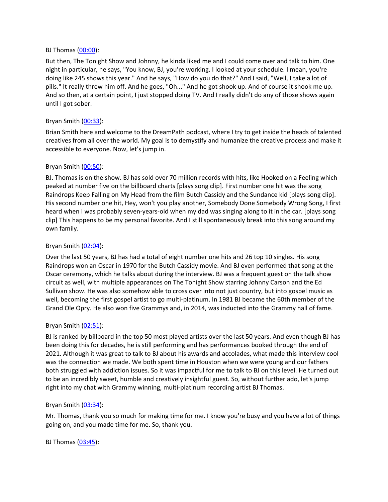#### BJ Thomas [\(00:00](https://www.temi.com/editor/t/I6YgQ0diGy-RIPgai3bCgxPXOVrKo26uwwSGrP00bcLAFZ979o9iI5FJIP_dGEfrOYiufuCuqDnVcpM2pq3yz1HWuf8?loadFrom=DocumentDeeplink&ts=0.21)):

But then, The Tonight Show and Johnny, he kinda liked me and I could come over and talk to him. One night in particular, he says, "You know, BJ, you're working. I looked at your schedule. I mean, you're doing like 245 shows this year." And he says, "How do you do that?" And I said, "Well, I take a lot of pills." It really threw him off. And he goes, "Oh..." And he got shook up. And of course it shook me up. And so then, at a certain point, I just stopped doing TV. And I really didn't do any of those shows again until I got sober.

### Bryan Smith ([00:33](https://www.temi.com/editor/t/I6YgQ0diGy-RIPgai3bCgxPXOVrKo26uwwSGrP00bcLAFZ979o9iI5FJIP_dGEfrOYiufuCuqDnVcpM2pq3yz1HWuf8?loadFrom=DocumentDeeplink&ts=33.66)):

Brian Smith here and welcome to the DreamPath podcast, where I try to get inside the heads of talented creatives from all over the world. My goal is to demystify and humanize the creative process and make it accessible to everyone. Now, let's jump in.

### Bryan Smith ([00:50](https://www.temi.com/editor/t/I6YgQ0diGy-RIPgai3bCgxPXOVrKo26uwwSGrP00bcLAFZ979o9iI5FJIP_dGEfrOYiufuCuqDnVcpM2pq3yz1HWuf8?loadFrom=DocumentDeeplink&ts=50.82)):

BJ. Thomas is on the show. BJ has sold over 70 million records with hits, like Hooked on a Feeling which peaked at number five on the billboard charts [plays song clip]. First number one hit was the song Raindrops Keep Falling on My Head from the film Butch Cassidy and the Sundance kid [plays song clip]. His second number one hit, Hey, won't you play another, Somebody Done Somebody Wrong Song, I first heard when I was probably seven-years-old when my dad was singing along to it in the car. [plays song clip] This happens to be my personal favorite. And I still spontaneously break into this song around my own family.

### Bryan Smith  $(02:04)$  $(02:04)$  $(02:04)$ :

Over the last 50 years, BJ has had a total of eight number one hits and 26 top 10 singles. His song Raindrops won an Oscar in 1970 for the Butch Cassidy movie. And BJ even performed that song at the Oscar ceremony, which he talks about during the interview. BJ was a frequent guest on the talk show circuit as well, with multiple appearances on The Tonight Show starring Johnny Carson and the Ed Sullivan show. He was also somehow able to cross over into not just country, but into gospel music as well, becoming the first gospel artist to go multi-platinum. In 1981 BJ became the 60th member of the Grand Ole Opry. He also won five Grammys and, in 2014, was inducted into the Grammy hall of fame.

### Bryan Smith ([02:51](https://www.temi.com/editor/t/I6YgQ0diGy-RIPgai3bCgxPXOVrKo26uwwSGrP00bcLAFZ979o9iI5FJIP_dGEfrOYiufuCuqDnVcpM2pq3yz1HWuf8?loadFrom=DocumentDeeplink&ts=171.98)):

BJ is ranked by billboard in the top 50 most played artists over the last 50 years. And even though BJ has been doing this for decades, he is still performing and has performances booked through the end of 2021. Although it was great to talk to BJ about his awards and accolades, what made this interview cool was the connection we made. We both spent time in Houston when we were young and our fathers both struggled with addiction issues. So it was impactful for me to talk to BJ on this level. He turned out to be an incredibly sweet, humble and creatively insightful guest. So, without further ado, let's jump right into my chat with Grammy winning, multi-platinum recording artist BJ Thomas.

#### Bryan Smith ([03:34](https://www.temi.com/editor/t/I6YgQ0diGy-RIPgai3bCgxPXOVrKo26uwwSGrP00bcLAFZ979o9iI5FJIP_dGEfrOYiufuCuqDnVcpM2pq3yz1HWuf8?loadFrom=DocumentDeeplink&ts=214.81)):

Mr. Thomas, thank you so much for making time for me. I know you're busy and you have a lot of things going on, and you made time for me. So, thank you.

BJ Thomas [\(03:45](https://www.temi.com/editor/t/I6YgQ0diGy-RIPgai3bCgxPXOVrKo26uwwSGrP00bcLAFZ979o9iI5FJIP_dGEfrOYiufuCuqDnVcpM2pq3yz1HWuf8?loadFrom=DocumentDeeplink&ts=225.06)):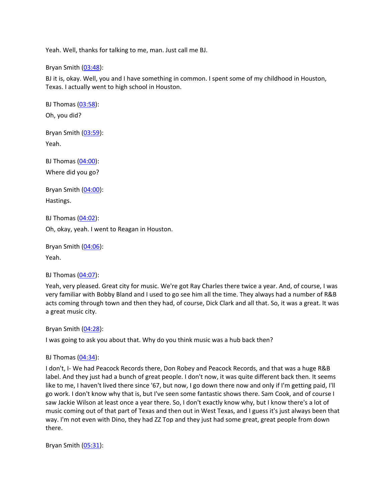Yeah. Well, thanks for talking to me, man. Just call me BJ.

Bryan Smith  $(03:48)$  $(03:48)$  $(03:48)$ :

BJ it is, okay. Well, you and I have something in common. I spent some of my childhood in Houston, Texas. I actually went to high school in Houston.

BJ Thomas [\(03:58](https://www.temi.com/editor/t/I6YgQ0diGy-RIPgai3bCgxPXOVrKo26uwwSGrP00bcLAFZ979o9iI5FJIP_dGEfrOYiufuCuqDnVcpM2pq3yz1HWuf8?loadFrom=DocumentDeeplink&ts=238.53)): Oh, you did?

Bryan Smith ([03:59](https://www.temi.com/editor/t/I6YgQ0diGy-RIPgai3bCgxPXOVrKo26uwwSGrP00bcLAFZ979o9iI5FJIP_dGEfrOYiufuCuqDnVcpM2pq3yz1HWuf8?loadFrom=DocumentDeeplink&ts=239.22)): Yeah.

BJ Thomas [\(04:00](https://www.temi.com/editor/t/I6YgQ0diGy-RIPgai3bCgxPXOVrKo26uwwSGrP00bcLAFZ979o9iI5FJIP_dGEfrOYiufuCuqDnVcpM2pq3yz1HWuf8?loadFrom=DocumentDeeplink&ts=240.66)): Where did you go?

Bryan Smith  $(04:00)$  $(04:00)$  $(04:00)$ : Hastings.

BJ Thomas [\(04:02](https://www.temi.com/editor/t/I6YgQ0diGy-RIPgai3bCgxPXOVrKo26uwwSGrP00bcLAFZ979o9iI5FJIP_dGEfrOYiufuCuqDnVcpM2pq3yz1HWuf8?loadFrom=DocumentDeeplink&ts=242.64)):

Oh, okay, yeah. I went to Reagan in Houston.

Bryan Smith ([04:06](https://www.temi.com/editor/t/I6YgQ0diGy-RIPgai3bCgxPXOVrKo26uwwSGrP00bcLAFZ979o9iI5FJIP_dGEfrOYiufuCuqDnVcpM2pq3yz1HWuf8?loadFrom=DocumentDeeplink&ts=246.6)): Yeah.

BJ Thomas [\(04:07](https://www.temi.com/editor/t/I6YgQ0diGy-RIPgai3bCgxPXOVrKo26uwwSGrP00bcLAFZ979o9iI5FJIP_dGEfrOYiufuCuqDnVcpM2pq3yz1HWuf8?loadFrom=DocumentDeeplink&ts=247.76)):

Yeah, very pleased. Great city for music. We're got Ray Charles there twice a year. And, of course, I was very familiar with Bobby Bland and I used to go see him all the time. They always had a number of R&B acts coming through town and then they had, of course, Dick Clark and all that. So, it was a great. It was a great music city.

Bryan Smith ([04:28](https://www.temi.com/editor/t/I6YgQ0diGy-RIPgai3bCgxPXOVrKo26uwwSGrP00bcLAFZ979o9iI5FJIP_dGEfrOYiufuCuqDnVcpM2pq3yz1HWuf8?loadFrom=DocumentDeeplink&ts=268.74)):

I was going to ask you about that. Why do you think music was a hub back then?

BJ Thomas [\(04:34](https://www.temi.com/editor/t/I6YgQ0diGy-RIPgai3bCgxPXOVrKo26uwwSGrP00bcLAFZ979o9iI5FJIP_dGEfrOYiufuCuqDnVcpM2pq3yz1HWuf8?loadFrom=DocumentDeeplink&ts=274.38)):

I don't, I- We had Peacock Records there, Don Robey and Peacock Records, and that was a huge R&B label. And they just had a bunch of great people. I don't now, it was quite different back then. It seems like to me, I haven't lived there since '67, but now, I go down there now and only if I'm getting paid, I'll go work. I don't know why that is, but I've seen some fantastic shows there. Sam Cook, and of course I saw Jackie Wilson at least once a year there. So, I don't exactly know why, but I know there's a lot of music coming out of that part of Texas and then out in West Texas, and I guess it's just always been that way. I'm not even with Dino, they had ZZ Top and they just had some great, great people from down there.

Bryan Smith  $(05:31)$  $(05:31)$  $(05:31)$ :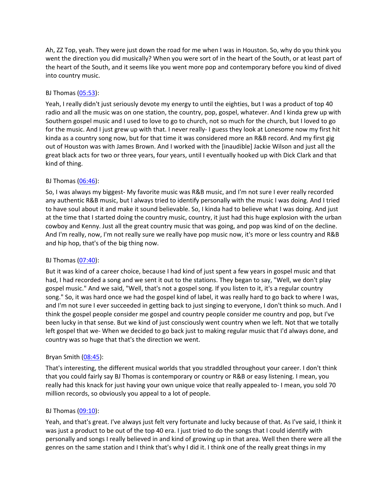Ah, ZZ Top, yeah. They were just down the road for me when I was in Houston. So, why do you think you went the direction you did musically? When you were sort of in the heart of the South, or at least part of the heart of the South, and it seems like you went more pop and contemporary before you kind of dived into country music.

# BJ Thomas [\(05:53](https://www.temi.com/editor/t/I6YgQ0diGy-RIPgai3bCgxPXOVrKo26uwwSGrP00bcLAFZ979o9iI5FJIP_dGEfrOYiufuCuqDnVcpM2pq3yz1HWuf8?loadFrom=DocumentDeeplink&ts=353.31)):

Yeah, I really didn't just seriously devote my energy to until the eighties, but I was a product of top 40 radio and all the music was on one station, the country, pop, gospel, whatever. And I kinda grew up with Southern gospel music and I used to love to go to church, not so much for the church, but I loved to go for the music. And I just grew up with that. I never really- I guess they look at Lonesome now my first hit kinda as a country song now, but for that time it was considered more an R&B record. And my first gig out of Houston was with James Brown. And I worked with the [inaudible] Jackie Wilson and just all the great black acts for two or three years, four years, until I eventually hooked up with Dick Clark and that kind of thing.

# BJ Thomas [\(06:46](https://www.temi.com/editor/t/I6YgQ0diGy-RIPgai3bCgxPXOVrKo26uwwSGrP00bcLAFZ979o9iI5FJIP_dGEfrOYiufuCuqDnVcpM2pq3yz1HWuf8?loadFrom=DocumentDeeplink&ts=406.31)):

So, I was always my biggest- My favorite music was R&B music, and I'm not sure I ever really recorded any authentic R&B music, but I always tried to identify personally with the music I was doing. And I tried to have soul about it and make it sound believable. So, I kinda had to believe what I was doing. And just at the time that I started doing the country music, country, it just had this huge explosion with the urban cowboy and Kenny. Just all the great country music that was going, and pop was kind of on the decline. And I'm really, now, I'm not really sure we really have pop music now, it's more or less country and R&B and hip hop, that's of the big thing now.

### BJ Thomas [\(07:40](https://www.temi.com/editor/t/I6YgQ0diGy-RIPgai3bCgxPXOVrKo26uwwSGrP00bcLAFZ979o9iI5FJIP_dGEfrOYiufuCuqDnVcpM2pq3yz1HWuf8?loadFrom=DocumentDeeplink&ts=460.01)):

But it was kind of a career choice, because I had kind of just spent a few years in gospel music and that had, I had recorded a song and we sent it out to the stations. They began to say, "Well, we don't play gospel music." And we said, "Well, that's not a gospel song. If you listen to it, it's a regular country song." So, it was hard once we had the gospel kind of label, it was really hard to go back to where I was, and I'm not sure I ever succeeded in getting back to just singing to everyone, I don't think so much. And I think the gospel people consider me gospel and country people consider me country and pop, but I've been lucky in that sense. But we kind of just consciously went country when we left. Not that we totally left gospel that we- When we decided to go back just to making regular music that I'd always done, and country was so huge that that's the direction we went.

### Bryan Smith  $(08:45)$  $(08:45)$  $(08:45)$ :

That's interesting, the different musical worlds that you straddled throughout your career. I don't think that you could fairly say BJ Thomas is contemporary or country or R&B or easy listening. I mean, you really had this knack for just having your own unique voice that really appealed to- I mean, you sold 70 million records, so obviously you appeal to a lot of people.

### BJ Thomas [\(09:10](https://www.temi.com/editor/t/I6YgQ0diGy-RIPgai3bCgxPXOVrKo26uwwSGrP00bcLAFZ979o9iI5FJIP_dGEfrOYiufuCuqDnVcpM2pq3yz1HWuf8?loadFrom=DocumentDeeplink&ts=550.31)):

Yeah, and that's great. I've always just felt very fortunate and lucky because of that. As I've said, I think it was just a product to be out of the top 40 era. I just tried to do the songs that I could identify with personally and songs I really believed in and kind of growing up in that area. Well then there were all the genres on the same station and I think that's why I did it. I think one of the really great things in my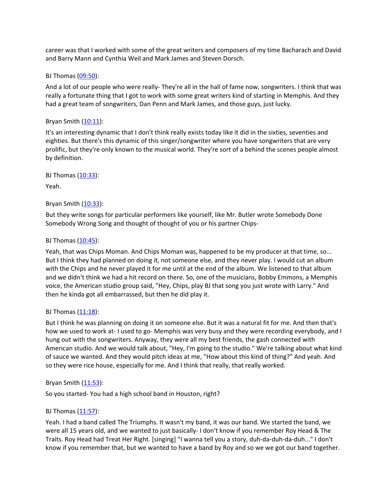career was that I worked with some of the great writers and composers of my time Bacharach and David and Barry Mann and Cynthia Weil and Mark James and Steven Dorsch.

#### BJ Thomas [\(09:50](https://www.temi.com/editor/t/I6YgQ0diGy-RIPgai3bCgxPXOVrKo26uwwSGrP00bcLAFZ979o9iI5FJIP_dGEfrOYiufuCuqDnVcpM2pq3yz1HWuf8?loadFrom=DocumentDeeplink&ts=590.261)):

And a lot of our people who were really- They're all in the hall of fame now, songwriters. I think that was really a fortunate thing that I got to work with some great writers kind of starting in Memphis. And they had a great team of songwriters, Dan Penn and Mark James, and those guys, just lucky.

#### Bryan Smith  $(10:11)$  $(10:11)$  $(10:11)$ :

It's an interesting dynamic that I don't think really exists today like it did in the sixties, seventies and eighties. But there's this dynamic of this singer/songwriter where you have songwriters that are very prolific, but they're only known to the musical world. They're sort of a behind the scenes people almost by definition.

BJ Thomas [\(10:33](https://www.temi.com/editor/t/I6YgQ0diGy-RIPgai3bCgxPXOVrKo26uwwSGrP00bcLAFZ979o9iI5FJIP_dGEfrOYiufuCuqDnVcpM2pq3yz1HWuf8?loadFrom=DocumentDeeplink&ts=633.89)):

Yeah.

# Bryan Smith  $(10:33)$  $(10:33)$  $(10:33)$ :

But they write songs for particular performers like yourself, like Mr. Butler wrote Somebody Done Somebody Wrong Song and thought of thought of you or his partner Chips-

# BJ Thomas  $(10:45)$  $(10:45)$ :

Yeah, that was Chips Moman. And Chips Moman was, happened to be my producer at that time, so... But I think they had planned on doing it, not someone else, and they never play. I would cut an album with the Chips and he never played it for me until at the end of the album. We listened to that album and we didn't think we had a hit record on there. So, one of the musicians, Bobby Emmons, a Memphis voice, the American studio group said, "Hey, Chips, play BJ that song you just wrote with Larry." And then he kinda got all embarrassed, but then he did play it.

### BJ Thomas [\(11:18](https://www.temi.com/editor/t/I6YgQ0diGy-RIPgai3bCgxPXOVrKo26uwwSGrP00bcLAFZ979o9iI5FJIP_dGEfrOYiufuCuqDnVcpM2pq3yz1HWuf8?loadFrom=DocumentDeeplink&ts=678.44)):

But I think he was planning on doing it on someone else. But it was a natural fit for me. And then that's how we used to work at- I used to go- Memphis was very busy and they were recording everybody, and I hung out with the songwriters. Anyway, they were all my best friends, the gash connected with American studio. And we would talk about, "Hey, I'm going to the studio." We're talking about what kind of sauce we wanted. And they would pitch ideas at me, "How about this kind of thing?" And yeah. And so they were rice house, especially for me. And I think that really, that really worked.

### Bryan Smith  $(11:53)$  $(11:53)$  $(11:53)$ :

So you started- You had a high school band in Houston, right?

### BJ Thomas  $(11:57)$  $(11:57)$ :

Yeah. I had a band called The Triumphs. It wasn't my band, it was our band. We started the band, we were all 15 years old, and we wanted to just basically- I don't know if you remember Roy Head & The Traits. Roy Head had Treat Her Right. [singing] "I wanna tell you a story, duh-da-duh-da-duh..." I don't know if you remember that, but we wanted to have a band by Roy and so we we got our band together.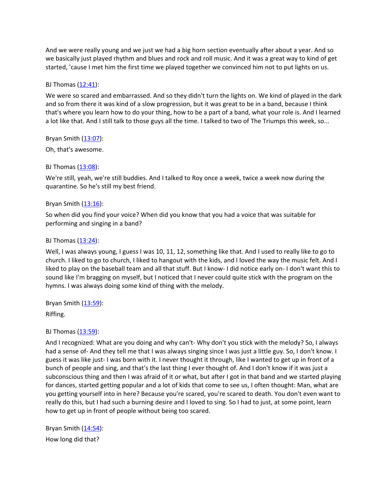And we were really young and we just we had a big horn section eventually after about a year. And so we basically just played rhythm and blues and rock and roll music. And it was a great way to kind of get started, 'cause I met him the first time we played together we convinced him not to put lights on us.

## BJ Thomas [\(12:41](https://www.temi.com/editor/t/I6YgQ0diGy-RIPgai3bCgxPXOVrKo26uwwSGrP00bcLAFZ979o9iI5FJIP_dGEfrOYiufuCuqDnVcpM2pq3yz1HWuf8?loadFrom=DocumentDeeplink&ts=761.79)):

We were so scared and embarrassed. And so they didn't turn the lights on. We kind of played in the dark and so from there it was kind of a slow progression, but it was great to be in a band, because I think that's where you learn how to do your thing, how to be a part of a band, what your role is. And I learned a lot like that. And I still talk to those guys all the time. I talked to two of The Triumps this week, so...

Bryan Smith  $(13:07)$  $(13:07)$  $(13:07)$ :

Oh, that's awesome.

### BJ Thomas [\(13:08](https://www.temi.com/editor/t/I6YgQ0diGy-RIPgai3bCgxPXOVrKo26uwwSGrP00bcLAFZ979o9iI5FJIP_dGEfrOYiufuCuqDnVcpM2pq3yz1HWuf8?loadFrom=DocumentDeeplink&ts=788.191)):

We're still, yeah, we're still buddies. And I talked to Roy once a week, twice a week now during the quarantine. So he's still my best friend.

# Bryan Smith ([13:16](https://www.temi.com/editor/t/I6YgQ0diGy-RIPgai3bCgxPXOVrKo26uwwSGrP00bcLAFZ979o9iI5FJIP_dGEfrOYiufuCuqDnVcpM2pq3yz1HWuf8?loadFrom=DocumentDeeplink&ts=796.44)):

So when did you find your voice? When did you know that you had a voice that was suitable for performing and singing in a band?

### BJ Thomas  $(13:24)$  $(13:24)$ :

Well, I was always young, I guess I was 10, 11, 12, something like that. And I used to really like to go to church. I liked to go to church, I liked to hangout with the kids, and I loved the way the music felt. And I liked to play on the baseball team and all that stuff. But I know- I did notice early on- I don't want this to sound like I'm bragging on myself, but I noticed that I never could quite stick with the program on the hymns. I was always doing some kind of thing with the melody.

Bryan Smith  $(13:59)$  $(13:59)$  $(13:59)$ :

Riffing.

# BJ Thomas [\(13:59](https://www.temi.com/editor/t/I6YgQ0diGy-RIPgai3bCgxPXOVrKo26uwwSGrP00bcLAFZ979o9iI5FJIP_dGEfrOYiufuCuqDnVcpM2pq3yz1HWuf8?loadFrom=DocumentDeeplink&ts=839.77)):

And I recognized: What are you doing and why can't- Why don't you stick with the melody? So, I always had a sense of- And they tell me that I was always singing since I was just a little guy. So, I don't know. I guess it was like just- I was born with it. I never thought it through, like I wanted to get up in front of a bunch of people and sing, and that's the last thing I ever thought of. And I don't know if it was just a subconscious thing and then I was afraid of it or what, but after I got in that band and we started playing for dances, started getting popular and a lot of kids that come to see us, I often thought: Man, what are you getting yourself into in here? Because you're scared, you're scared to death. You don't even want to really do this, but I had such a burning desire and I loved to sing. So I had to just, at some point, learn how to get up in front of people without being too scared.

Bryan Smith ([14:54](https://www.temi.com/editor/t/I6YgQ0diGy-RIPgai3bCgxPXOVrKo26uwwSGrP00bcLAFZ979o9iI5FJIP_dGEfrOYiufuCuqDnVcpM2pq3yz1HWuf8?loadFrom=DocumentDeeplink&ts=894.47)): How long did that?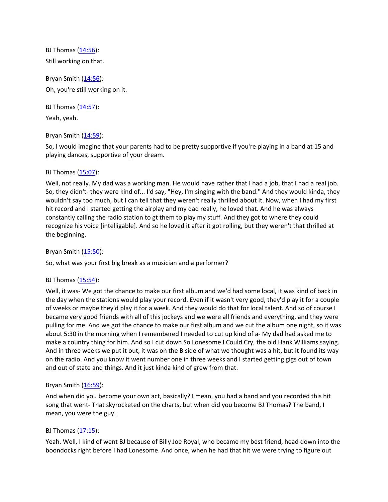BJ Thomas [\(14:56](https://www.temi.com/editor/t/I6YgQ0diGy-RIPgai3bCgxPXOVrKo26uwwSGrP00bcLAFZ979o9iI5FJIP_dGEfrOYiufuCuqDnVcpM2pq3yz1HWuf8?loadFrom=DocumentDeeplink&ts=896.24)): Still working on that.

Bryan Smith ([14:56](https://www.temi.com/editor/t/I6YgQ0diGy-RIPgai3bCgxPXOVrKo26uwwSGrP00bcLAFZ979o9iI5FJIP_dGEfrOYiufuCuqDnVcpM2pq3yz1HWuf8?loadFrom=DocumentDeeplink&ts=896.24)): Oh, you're still working on it.

BJ Thomas  $(14:57)$  $(14:57)$ :

Yeah, yeah.

# Bryan Smith ([14:59](https://www.temi.com/editor/t/I6YgQ0diGy-RIPgai3bCgxPXOVrKo26uwwSGrP00bcLAFZ979o9iI5FJIP_dGEfrOYiufuCuqDnVcpM2pq3yz1HWuf8?loadFrom=DocumentDeeplink&ts=899.44)):

So, I would imagine that your parents had to be pretty supportive if you're playing in a band at 15 and playing dances, supportive of your dream.

# BJ Thomas  $(15:07)$  $(15:07)$ :

Well, not really. My dad was a working man. He would have rather that I had a job, that I had a real job. So, they didn't- they were kind of... I'd say, "Hey, I'm singing with the band." And they would kinda, they wouldn't say too much, but I can tell that they weren't really thrilled about it. Now, when I had my first hit record and I started getting the airplay and my dad really, he loved that. And he was always constantly calling the radio station to gt them to play my stuff. And they got to where they could recognize his voice [intelligable]. And so he loved it after it got rolling, but they weren't that thrilled at the beginning.

# Bryan Smith ([15:50](https://www.temi.com/editor/t/I6YgQ0diGy-RIPgai3bCgxPXOVrKo26uwwSGrP00bcLAFZ979o9iI5FJIP_dGEfrOYiufuCuqDnVcpM2pq3yz1HWuf8?loadFrom=DocumentDeeplink&ts=950.53)):

So, what was your first big break as a musician and a performer?

# BJ Thomas  $(15:54)$  $(15:54)$ :

Well, it was- We got the chance to make our first album and we'd had some local, it was kind of back in the day when the stations would play your record. Even if it wasn't very good, they'd play it for a couple of weeks or maybe they'd play it for a week. And they would do that for local talent. And so of course I became very good friends with all of this jockeys and we were all friends and everything, and they were pulling for me. And we got the chance to make our first album and we cut the album one night, so it was about 5:30 in the morning when I remembered I needed to cut up kind of a- My dad had asked me to make a country thing for him. And so I cut down So Lonesome I Could Cry, the old Hank Williams saying. And in three weeks we put it out, it was on the B side of what we thought was a hit, but it found its way on the radio. And you know it went number one in three weeks and I started getting gigs out of town and out of state and things. And it just kinda kind of grew from that.

# Bryan Smith  $(16:59)$  $(16:59)$  $(16:59)$ :

And when did you become your own act, basically? I mean, you had a band and you recorded this hit song that went- That skyrocketed on the charts, but when did you become BJ Thomas? The band, I mean, you were the guy.

# BJ Thomas  $(17:15)$  $(17:15)$ :

Yeah. Well, I kind of went BJ because of Billy Joe Royal, who became my best friend, head down into the boondocks right before I had Lonesome. And once, when he had that hit we were trying to figure out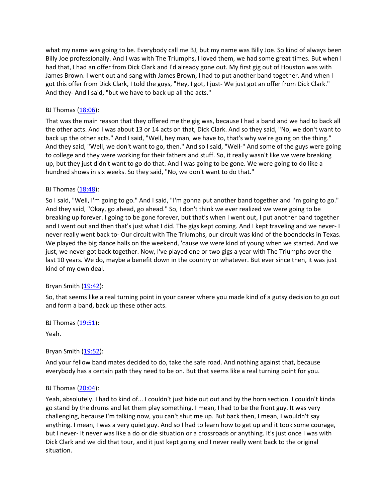what my name was going to be. Everybody call me BJ, but my name was Billy Joe. So kind of always been Billy Joe professionally. And I was with The Triumphs, I loved them, we had some great times. But when I had that, I had an offer from Dick Clark and I'd already gone out. My first gig out of Houston was with James Brown. I went out and sang with James Brown, I had to put another band together. And when I got this offer from Dick Clark, I told the guys, "Hey, I got, I just- We just got an offer from Dick Clark." And they- And I said, "but we have to back up all the acts."

## BJ Thomas [\(18:06](https://www.temi.com/editor/t/I6YgQ0diGy-RIPgai3bCgxPXOVrKo26uwwSGrP00bcLAFZ979o9iI5FJIP_dGEfrOYiufuCuqDnVcpM2pq3yz1HWuf8?loadFrom=DocumentDeeplink&ts=1086.51)):

That was the main reason that they offered me the gig was, because I had a band and we had to back all the other acts. And I was about 13 or 14 acts on that, Dick Clark. And so they said, "No, we don't want to back up the other acts." And I said, "Well, hey man, we have to, that's why we're going on the thing." And they said, "Well, we don't want to go, then." And so I said, "Well-" And some of the guys were going to college and they were working for their fathers and stuff. So, it really wasn't like we were breaking up, but they just didn't want to go do that. And I was going to be gone. We were going to do like a hundred shows in six weeks. So they said, "No, we don't want to do that."

### BJ Thomas [\(18:48](https://www.temi.com/editor/t/I6YgQ0diGy-RIPgai3bCgxPXOVrKo26uwwSGrP00bcLAFZ979o9iI5FJIP_dGEfrOYiufuCuqDnVcpM2pq3yz1HWuf8?loadFrom=DocumentDeeplink&ts=1128.66)):

So I said, "Well, I'm going to go." And I said, "I'm gonna put another band together and I'm going to go." And they said, "Okay, go ahead, go ahead." So, I don't think we ever realized we were going to be breaking up forever. I going to be gone forever, but that's when I went out, I put another band together and I went out and then that's just what I did. The gigs kept coming. And I kept traveling and we never- I never really went back to- Our circuit with The Triumphs, our circuit was kind of the boondocks in Texas. We played the big dance halls on the weekend, 'cause we were kind of young when we started. And we just, we never got back together. Now, I've played one or two gigs a year with The Triumphs over the last 10 years. We do, maybe a benefit down in the country or whatever. But ever since then, it was just kind of my own deal.

### Bryan Smith ([19:42](https://www.temi.com/editor/t/I6YgQ0diGy-RIPgai3bCgxPXOVrKo26uwwSGrP00bcLAFZ979o9iI5FJIP_dGEfrOYiufuCuqDnVcpM2pq3yz1HWuf8?loadFrom=DocumentDeeplink&ts=1182.53)):

So, that seems like a real turning point in your career where you made kind of a gutsy decision to go out and form a band, back up these other acts.

BJ Thomas  $(19:51)$  $(19:51)$ :

Yeah.

### Bryan Smith  $(19:52)$  $(19:52)$  $(19:52)$ :

And your fellow band mates decided to do, take the safe road. And nothing against that, because everybody has a certain path they need to be on. But that seems like a real turning point for you.

### BJ Thomas  $(20:04)$  $(20:04)$ :

Yeah, absolutely. I had to kind of... I couldn't just hide out out and by the horn section. I couldn't kinda go stand by the drums and let them play something. I mean, I had to be the front guy. It was very challenging, because I'm talking now, you can't shut me up. But back then, I mean, I wouldn't say anything. I mean, I was a very quiet guy. And so I had to learn how to get up and it took some courage, but I never- It never was like a do or die situation or a crossroads or anything. It's just once I was with Dick Clark and we did that tour, and it just kept going and I never really went back to the original situation.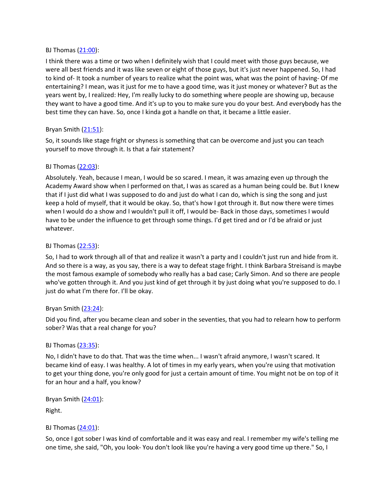#### BJ Thomas [\(21:00](https://www.temi.com/editor/t/I6YgQ0diGy-RIPgai3bCgxPXOVrKo26uwwSGrP00bcLAFZ979o9iI5FJIP_dGEfrOYiufuCuqDnVcpM2pq3yz1HWuf8?loadFrom=DocumentDeeplink&ts=1260.7)):

I think there was a time or two when I definitely wish that I could meet with those guys because, we were all best friends and it was like seven or eight of those guys, but it's just never happened. So, I had to kind of- It took a number of years to realize what the point was, what was the point of having- Of me entertaining? I mean, was it just for me to have a good time, was it just money or whatever? But as the years went by, I realized: Hey, I'm really lucky to do something where people are showing up, because they want to have a good time. And it's up to you to make sure you do your best. And everybody has the best time they can have. So, once I kinda got a handle on that, it became a little easier.

# Bryan Smith ([21:51](https://www.temi.com/editor/t/I6YgQ0diGy-RIPgai3bCgxPXOVrKo26uwwSGrP00bcLAFZ979o9iI5FJIP_dGEfrOYiufuCuqDnVcpM2pq3yz1HWuf8?loadFrom=DocumentDeeplink&ts=1311.69)):

So, it sounds like stage fright or shyness is something that can be overcome and just you can teach yourself to move through it. Is that a fair statement?

# BJ Thomas [\(22:03](https://www.temi.com/editor/t/I6YgQ0diGy-RIPgai3bCgxPXOVrKo26uwwSGrP00bcLAFZ979o9iI5FJIP_dGEfrOYiufuCuqDnVcpM2pq3yz1HWuf8?loadFrom=DocumentDeeplink&ts=1323.96)):

Absolutely. Yeah, because I mean, I would be so scared. I mean, it was amazing even up through the Academy Award show when I performed on that, I was as scared as a human being could be. But I knew that if I just did what I was supposed to do and just do what I can do, which is sing the song and just keep a hold of myself, that it would be okay. So, that's how I got through it. But now there were times when I would do a show and I wouldn't pull it off, I would be- Back in those days, sometimes I would have to be under the influence to get through some things. I'd get tired and or I'd be afraid or just whatever.

# BJ Thomas [\(22:53](https://www.temi.com/editor/t/I6YgQ0diGy-RIPgai3bCgxPXOVrKo26uwwSGrP00bcLAFZ979o9iI5FJIP_dGEfrOYiufuCuqDnVcpM2pq3yz1HWuf8?loadFrom=DocumentDeeplink&ts=1373.61)):

So, I had to work through all of that and realize it wasn't a party and I couldn't just run and hide from it. And so there is a way, as you say, there is a way to defeat stage fright. I think Barbara Streisand is maybe the most famous example of somebody who really has a bad case; Carly Simon. And so there are people who've gotten through it. And you just kind of get through it by just doing what you're supposed to do. I just do what I'm there for. I'll be okay.

### Bryan Smith  $(23:24)$  $(23:24)$  $(23:24)$ :

Did you find, after you became clean and sober in the seventies, that you had to relearn how to perform sober? Was that a real change for you?

### BJ Thomas [\(23:35](https://www.temi.com/editor/t/I6YgQ0diGy-RIPgai3bCgxPXOVrKo26uwwSGrP00bcLAFZ979o9iI5FJIP_dGEfrOYiufuCuqDnVcpM2pq3yz1HWuf8?loadFrom=DocumentDeeplink&ts=1415.37)):

No, I didn't have to do that. That was the time when... I wasn't afraid anymore, I wasn't scared. It became kind of easy. I was healthy. A lot of times in my early years, when you're using that motivation to get your thing done, you're only good for just a certain amount of time. You might not be on top of it for an hour and a half, you know?

Bryan Smith  $(24:01)$  $(24:01)$  $(24:01)$ :

Right.

### BJ Thomas [\(24:01](https://www.temi.com/editor/t/I6YgQ0diGy-RIPgai3bCgxPXOVrKo26uwwSGrP00bcLAFZ979o9iI5FJIP_dGEfrOYiufuCuqDnVcpM2pq3yz1HWuf8?loadFrom=DocumentDeeplink&ts=1441.4)):

So, once I got sober I was kind of comfortable and it was easy and real. I remember my wife's telling me one time, she said, "Oh, you look- You don't look like you're having a very good time up there." So, I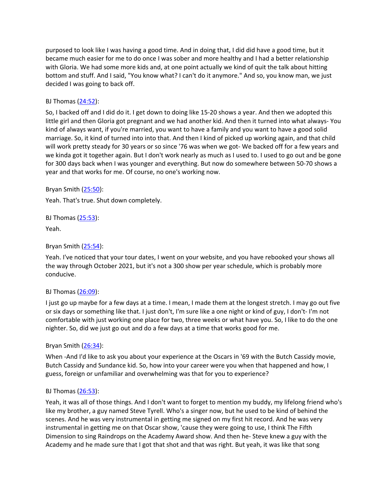purposed to look like I was having a good time. And in doing that, I did did have a good time, but it became much easier for me to do once I was sober and more healthy and I had a better relationship with Gloria. We had some more kids and, at one point actually we kind of quit the talk about hitting bottom and stuff. And I said, "You know what? I can't do it anymore." And so, you know man, we just decided I was going to back off.

#### BJ Thomas [\(24:52](https://www.temi.com/editor/t/I6YgQ0diGy-RIPgai3bCgxPXOVrKo26uwwSGrP00bcLAFZ979o9iI5FJIP_dGEfrOYiufuCuqDnVcpM2pq3yz1HWuf8?loadFrom=DocumentDeeplink&ts=1492.281)):

So, I backed off and I did do it. I get down to doing like 15-20 shows a year. And then we adopted this little girl and then Gloria got pregnant and we had another kid. And then it turned into what always- You kind of always want, if you're married, you want to have a family and you want to have a good solid marriage. So, it kind of turned into into that. And then I kind of picked up working again, and that child will work pretty steady for 30 years or so since '76 was when we got- We backed off for a few years and we kinda got it together again. But I don't work nearly as much as I used to. I used to go out and be gone for 300 days back when I was younger and everything. But now do somewhere between 50-70 shows a year and that works for me. Of course, no one's working now.

Bryan Smith ([25:50](https://www.temi.com/editor/t/I6YgQ0diGy-RIPgai3bCgxPXOVrKo26uwwSGrP00bcLAFZ979o9iI5FJIP_dGEfrOYiufuCuqDnVcpM2pq3yz1HWuf8?loadFrom=DocumentDeeplink&ts=1550.47)):

Yeah. That's true. Shut down completely.

BJ Thomas [\(25:53](https://www.temi.com/editor/t/I6YgQ0diGy-RIPgai3bCgxPXOVrKo26uwwSGrP00bcLAFZ979o9iI5FJIP_dGEfrOYiufuCuqDnVcpM2pq3yz1HWuf8?loadFrom=DocumentDeeplink&ts=1553.89)):

Yeah.

### Bryan Smith  $(25:54)$  $(25:54)$  $(25:54)$ :

Yeah. I've noticed that your tour dates, I went on your website, and you have rebooked your shows all the way through October 2021, but it's not a 300 show per year schedule, which is probably more conducive.

#### BJ Thomas [\(26:09](https://www.temi.com/editor/t/I6YgQ0diGy-RIPgai3bCgxPXOVrKo26uwwSGrP00bcLAFZ979o9iI5FJIP_dGEfrOYiufuCuqDnVcpM2pq3yz1HWuf8?loadFrom=DocumentDeeplink&ts=1569.97)):

I just go up maybe for a few days at a time. I mean, I made them at the longest stretch. I may go out five or six days or something like that. I just don't, I'm sure like a one night or kind of guy, I don't- I'm not comfortable with just working one place for two, three weeks or what have you. So, I like to do the one nighter. So, did we just go out and do a few days at a time that works good for me.

#### Bryan Smith ([26:34](https://www.temi.com/editor/t/I6YgQ0diGy-RIPgai3bCgxPXOVrKo26uwwSGrP00bcLAFZ979o9iI5FJIP_dGEfrOYiufuCuqDnVcpM2pq3yz1HWuf8?loadFrom=DocumentDeeplink&ts=1594.33)):

When -And I'd like to ask you about your experience at the Oscars in '69 with the Butch Cassidy movie, Butch Cassidy and Sundance kid. So, how into your career were you when that happened and how, I guess, foreign or unfamiliar and overwhelming was that for you to experience?

#### BJ Thomas [\(26:53](https://www.temi.com/editor/t/I6YgQ0diGy-RIPgai3bCgxPXOVrKo26uwwSGrP00bcLAFZ979o9iI5FJIP_dGEfrOYiufuCuqDnVcpM2pq3yz1HWuf8?loadFrom=DocumentDeeplink&ts=1613.9)):

Yeah, it was all of those things. And I don't want to forget to mention my buddy, my lifelong friend who's like my brother, a guy named Steve Tyrell. Who's a singer now, but he used to be kind of behind the scenes. And he was very instrumental in getting me signed on my first hit record. And he was very instrumental in getting me on that Oscar show, 'cause they were going to use, I think The Fifth Dimension to sing Raindrops on the Academy Award show. And then he- Steve knew a guy with the Academy and he made sure that I got that shot and that was right. But yeah, it was like that song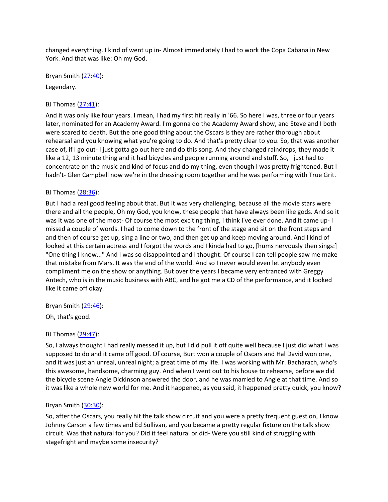changed everything. I kind of went up in- Almost immediately I had to work the Copa Cabana in New York. And that was like: Oh my God.

Bryan Smith ([27:40](https://www.temi.com/editor/t/I6YgQ0diGy-RIPgai3bCgxPXOVrKo26uwwSGrP00bcLAFZ979o9iI5FJIP_dGEfrOYiufuCuqDnVcpM2pq3yz1HWuf8?loadFrom=DocumentDeeplink&ts=1660.161)):

Legendary.

## BJ Thomas [\(27:41](https://www.temi.com/editor/t/I6YgQ0diGy-RIPgai3bCgxPXOVrKo26uwwSGrP00bcLAFZ979o9iI5FJIP_dGEfrOYiufuCuqDnVcpM2pq3yz1HWuf8?loadFrom=DocumentDeeplink&ts=1661.78)):

And it was only like four years. I mean, I had my first hit really in '66. So here I was, three or four years later, nominated for an Academy Award. I'm gonna do the Academy Award show, and Steve and I both were scared to death. But the one good thing about the Oscars is they are rather thorough about rehearsal and you knowing what you're going to do. And that's pretty clear to you. So, that was another case of, if I go out- I just gotta go out here and do this song. And they changed raindrops, they made it like a 12, 13 minute thing and it had bicycles and people running around and stuff. So, I just had to concentrate on the music and kind of focus and do my thing, even though I was pretty frightened. But I hadn't- Glen Campbell now we're in the dressing room together and he was performing with True Grit.

### BJ Thomas [\(28:36](https://www.temi.com/editor/t/I6YgQ0diGy-RIPgai3bCgxPXOVrKo26uwwSGrP00bcLAFZ979o9iI5FJIP_dGEfrOYiufuCuqDnVcpM2pq3yz1HWuf8?loadFrom=DocumentDeeplink&ts=1716.11)):

But I had a real good feeling about that. But it was very challenging, because all the movie stars were there and all the people, Oh my God, you know, these people that have always been like gods. And so it was it was one of the most- Of course the most exciting thing, I think I've ever done. And it came up- I missed a couple of words. I had to come down to the front of the stage and sit on the front steps and and then of course get up, sing a line or two, and then get up and keep moving around. And I kind of looked at this certain actress and I forgot the words and I kinda had to go, [hums nervously then sings:] "One thing I know..." And I was so disappointed and I thought: Of course I can tell people saw me make that mistake from Mars. It was the end of the world. And so I never would even let anybody even compliment me on the show or anything. But over the years I became very entranced with Greggy Antech, who is in the music business with ABC, and he got me a CD of the performance, and it looked like it came off okay.

### Bryan Smith ([29:46](https://www.temi.com/editor/t/I6YgQ0diGy-RIPgai3bCgxPXOVrKo26uwwSGrP00bcLAFZ979o9iI5FJIP_dGEfrOYiufuCuqDnVcpM2pq3yz1HWuf8?loadFrom=DocumentDeeplink&ts=1786.21)):

Oh, that's good.

### BJ Thomas [\(29:47](https://www.temi.com/editor/t/I6YgQ0diGy-RIPgai3bCgxPXOVrKo26uwwSGrP00bcLAFZ979o9iI5FJIP_dGEfrOYiufuCuqDnVcpM2pq3yz1HWuf8?loadFrom=DocumentDeeplink&ts=1787.35)):

So, I always thought I had really messed it up, but I did pull it off quite well because I just did what I was supposed to do and it came off good. Of course, Burt won a couple of Oscars and Hal David won one, and it was just an unreal, unreal night; a great time of my life. I was working with Mr. Bacharach, who's this awesome, handsome, charming guy. And when I went out to his house to rehearse, before we did the bicycle scene Angie Dickinson answered the door, and he was married to Angie at that time. And so it was like a whole new world for me. And it happened, as you said, it happened pretty quick, you know?

### Bryan Smith ([30:30](https://www.temi.com/editor/t/I6YgQ0diGy-RIPgai3bCgxPXOVrKo26uwwSGrP00bcLAFZ979o9iI5FJIP_dGEfrOYiufuCuqDnVcpM2pq3yz1HWuf8?loadFrom=DocumentDeeplink&ts=1830.48)):

So, after the Oscars, you really hit the talk show circuit and you were a pretty frequent guest on, I know Johnny Carson a few times and Ed Sullivan, and you became a pretty regular fixture on the talk show circuit. Was that natural for you? Did it feel natural or did- Were you still kind of struggling with stagefright and maybe some insecurity?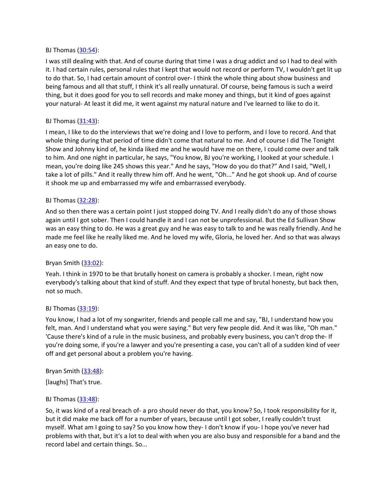#### BJ Thomas [\(30:54](https://www.temi.com/editor/t/I6YgQ0diGy-RIPgai3bCgxPXOVrKo26uwwSGrP00bcLAFZ979o9iI5FJIP_dGEfrOYiufuCuqDnVcpM2pq3yz1HWuf8?loadFrom=DocumentDeeplink&ts=1854.25)):

I was still dealing with that. And of course during that time I was a drug addict and so I had to deal with it. I had certain rules, personal rules that I kept that would not record or perform TV, I wouldn't get lit up to do that. So, I had certain amount of control over- I think the whole thing about show business and being famous and all that stuff, I think it's all really unnatural. Of course, being famous is such a weird thing, but it does good for you to sell records and make money and things, but it kind of goes against your natural- At least it did me, it went against my natural nature and I've learned to like to do it.

### BJ Thomas [\(31:43](https://www.temi.com/editor/t/I6YgQ0diGy-RIPgai3bCgxPXOVrKo26uwwSGrP00bcLAFZ979o9iI5FJIP_dGEfrOYiufuCuqDnVcpM2pq3yz1HWuf8?loadFrom=DocumentDeeplink&ts=1903.92)):

I mean, I like to do the interviews that we're doing and I love to perform, and I love to record. And that whole thing during that period of time didn't come that natural to me. And of course I did The Tonight Show and Johnny kind of, he kinda liked me and he would have me on there, I could come over and talk to him. And one night in particular, he says, "You know, BJ you're working, I looked at your schedule. I mean, you're doing like 245 shows this year." And he says, "How do you do that?" And I said, "Well, I take a lot of pills." And it really threw him off. And he went, "Oh..." And he got shook up. And of course it shook me up and embarrassed my wife and embarrassed everybody.

### BJ Thomas [\(32:28](https://www.temi.com/editor/t/I6YgQ0diGy-RIPgai3bCgxPXOVrKo26uwwSGrP00bcLAFZ979o9iI5FJIP_dGEfrOYiufuCuqDnVcpM2pq3yz1HWuf8?loadFrom=DocumentDeeplink&ts=1948.77)):

And so then there was a certain point I just stopped doing TV. And I really didn't do any of those shows again until I got sober. Then I could handle it and I can not be unprofessional. But the Ed Sullivan Show was an easy thing to do. He was a great guy and he was easy to talk to and he was really friendly. And he made me feel like he really liked me. And he loved my wife, Gloria, he loved her. And so that was always an easy one to do.

### Bryan Smith ([33:02](https://www.temi.com/editor/t/I6YgQ0diGy-RIPgai3bCgxPXOVrKo26uwwSGrP00bcLAFZ979o9iI5FJIP_dGEfrOYiufuCuqDnVcpM2pq3yz1HWuf8?loadFrom=DocumentDeeplink&ts=1982.26)):

Yeah. I think in 1970 to be that brutally honest on camera is probably a shocker. I mean, right now everybody's talking about that kind of stuff. And they expect that type of brutal honesty, but back then, not so much.

#### BJ Thomas  $(33:19)$  $(33:19)$ :

You know, I had a lot of my songwriter, friends and people call me and say, "BJ, I understand how you felt, man. And I understand what you were saying." But very few people did. And it was like, "Oh man." 'Cause there's kind of a rule in the music business, and probably every business, you can't drop the- If you're doing some, if you're a lawyer and you're presenting a case, you can't all of a sudden kind of veer off and get personal about a problem you're having.

#### Bryan Smith  $(33:48)$  $(33:48)$  $(33:48)$ :

[laughs] That's true.

#### BJ Thomas [\(33:48](https://www.temi.com/editor/t/I6YgQ0diGy-RIPgai3bCgxPXOVrKo26uwwSGrP00bcLAFZ979o9iI5FJIP_dGEfrOYiufuCuqDnVcpM2pq3yz1HWuf8?loadFrom=DocumentDeeplink&ts=2028.131)):

So, it was kind of a real breach of- a pro should never do that, you know? So, I took responsibility for it, but it did make me back off for a number of years, because until I got sober, I really couldn't trust myself. What am I going to say? So you know how they- I don't know if you- I hope you've never had problems with that, but it's a lot to deal with when you are also busy and responsible for a band and the record label and certain things. So...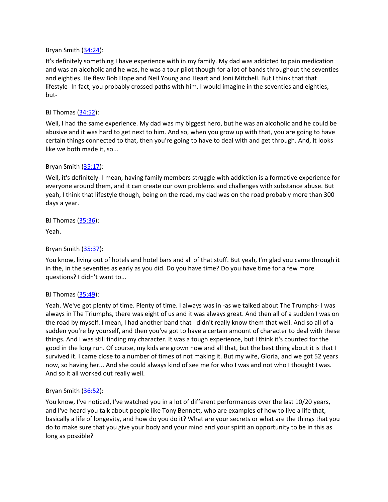Bryan Smith ([34:24](https://www.temi.com/editor/t/I6YgQ0diGy-RIPgai3bCgxPXOVrKo26uwwSGrP00bcLAFZ979o9iI5FJIP_dGEfrOYiufuCuqDnVcpM2pq3yz1HWuf8?loadFrom=DocumentDeeplink&ts=2064.55)):

It's definitely something I have experience with in my family. My dad was addicted to pain medication and was an alcoholic and he was, he was a tour pilot though for a lot of bands throughout the seventies and eighties. He flew Bob Hope and Neil Young and Heart and Joni Mitchell. But I think that that lifestyle- In fact, you probably crossed paths with him. I would imagine in the seventies and eighties, but-

### BJ Thomas [\(34:52](https://www.temi.com/editor/t/I6YgQ0diGy-RIPgai3bCgxPXOVrKo26uwwSGrP00bcLAFZ979o9iI5FJIP_dGEfrOYiufuCuqDnVcpM2pq3yz1HWuf8?loadFrom=DocumentDeeplink&ts=2092.63)):

Well, I had the same experience. My dad was my biggest hero, but he was an alcoholic and he could be abusive and it was hard to get next to him. And so, when you grow up with that, you are going to have certain things connected to that, then you're going to have to deal with and get through. And, it looks like we both made it, so...

### Bryan Smith ([35:17](https://www.temi.com/editor/t/I6YgQ0diGy-RIPgai3bCgxPXOVrKo26uwwSGrP00bcLAFZ979o9iI5FJIP_dGEfrOYiufuCuqDnVcpM2pq3yz1HWuf8?loadFrom=DocumentDeeplink&ts=2117.23)):

Well, it's definitely- I mean, having family members struggle with addiction is a formative experience for everyone around them, and it can create our own problems and challenges with substance abuse. But yeah, I think that lifestyle though, being on the road, my dad was on the road probably more than 300 days a year.

BJ Thomas [\(35:36](https://www.temi.com/editor/t/I6YgQ0diGy-RIPgai3bCgxPXOVrKo26uwwSGrP00bcLAFZ979o9iI5FJIP_dGEfrOYiufuCuqDnVcpM2pq3yz1HWuf8?loadFrom=DocumentDeeplink&ts=2136.93)):

Yeah.

#### Bryan Smith ([35:37](https://www.temi.com/editor/t/I6YgQ0diGy-RIPgai3bCgxPXOVrKo26uwwSGrP00bcLAFZ979o9iI5FJIP_dGEfrOYiufuCuqDnVcpM2pq3yz1HWuf8?loadFrom=DocumentDeeplink&ts=2137.41)):

You know, living out of hotels and hotel bars and all of that stuff. But yeah, I'm glad you came through it in the, in the seventies as early as you did. Do you have time? Do you have time for a few more questions? I didn't want to...

### BJ Thomas [\(35:49](https://www.temi.com/editor/t/I6YgQ0diGy-RIPgai3bCgxPXOVrKo26uwwSGrP00bcLAFZ979o9iI5FJIP_dGEfrOYiufuCuqDnVcpM2pq3yz1HWuf8?loadFrom=DocumentDeeplink&ts=2149.01)):

Yeah. We've got plenty of time. Plenty of time. I always was in -as we talked about The Trumphs- I was always in The Triumphs, there was eight of us and it was always great. And then all of a sudden I was on the road by myself. I mean, I had another band that I didn't really know them that well. And so all of a sudden you're by yourself, and then you've got to have a certain amount of character to deal with these things. And I was still finding my character. It was a tough experience, but I think it's counted for the good in the long run. Of course, my kids are grown now and all that, but the best thing about it is that I survived it. I came close to a number of times of not making it. But my wife, Gloria, and we got 52 years now, so having her... And she could always kind of see me for who I was and not who I thought I was. And so it all worked out really well.

### Bryan Smith ([36:52](https://www.temi.com/editor/t/I6YgQ0diGy-RIPgai3bCgxPXOVrKo26uwwSGrP00bcLAFZ979o9iI5FJIP_dGEfrOYiufuCuqDnVcpM2pq3yz1HWuf8?loadFrom=DocumentDeeplink&ts=2212.28)):

You know, I've noticed, I've watched you in a lot of different performances over the last 10/20 years, and I've heard you talk about people like Tony Bennett, who are examples of how to live a life that, basically a life of longevity, and how do you do it? What are your secrets or what are the things that you do to make sure that you give your body and your mind and your spirit an opportunity to be in this as long as possible?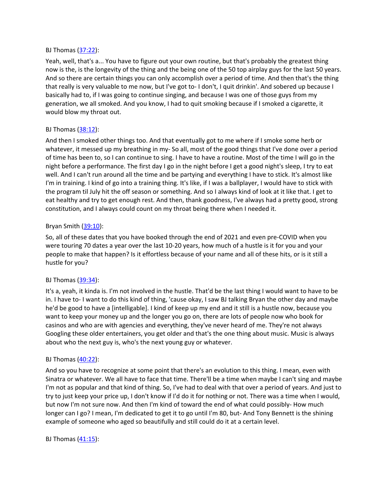#### BJ Thomas [\(37:22](https://www.temi.com/editor/t/I6YgQ0diGy-RIPgai3bCgxPXOVrKo26uwwSGrP00bcLAFZ979o9iI5FJIP_dGEfrOYiufuCuqDnVcpM2pq3yz1HWuf8?loadFrom=DocumentDeeplink&ts=2242.16)):

Yeah, well, that's a... You have to figure out your own routine, but that's probably the greatest thing now is the, is the longevity of the thing and the being one of the 50 top airplay guys for the last 50 years. And so there are certain things you can only accomplish over a period of time. And then that's the thing that really is very valuable to me now, but I've got to- I don't, I quit drinkin'. And sobered up because I basically had to, if I was going to continue singing, and because I was one of those guys from my generation, we all smoked. And you know, I had to quit smoking because if I smoked a cigarette, it would blow my throat out.

# BJ Thomas [\(38:12](https://www.temi.com/editor/t/I6YgQ0diGy-RIPgai3bCgxPXOVrKo26uwwSGrP00bcLAFZ979o9iI5FJIP_dGEfrOYiufuCuqDnVcpM2pq3yz1HWuf8?loadFrom=DocumentDeeplink&ts=2292.59)):

And then I smoked other things too. And that eventually got to me where if I smoke some herb or whatever, it messed up my breathing in my- So all, most of the good things that I've done over a period of time has been to, so I can continue to sing. I have to have a routine. Most of the time I will go in the night before a performance. The first day I go in the night before I get a good night's sleep, I try to eat well. And I can't run around all the time and be partying and everything I have to stick. It's almost like I'm in training. I kind of go into a training thing. It's like, if I was a ballplayer, I would have to stick with the program til July hit the off season or something. And so I always kind of look at it like that. I get to eat healthy and try to get enough rest. And then, thank goodness, I've always had a pretty good, strong constitution, and I always could count on my throat being there when I needed it.

### Bryan Smith ([39:10](https://www.temi.com/editor/t/I6YgQ0diGy-RIPgai3bCgxPXOVrKo26uwwSGrP00bcLAFZ979o9iI5FJIP_dGEfrOYiufuCuqDnVcpM2pq3yz1HWuf8?loadFrom=DocumentDeeplink&ts=2350.47)):

So, all of these dates that you have booked through the end of 2021 and even pre-COVID when you were touring 70 dates a year over the last 10-20 years, how much of a hustle is it for you and your people to make that happen? Is it effortless because of your name and all of these hits, or is it still a hustle for you?

### BJ Thomas  $(39:34)$  $(39:34)$ :

It's a, yeah, it kinda is. I'm not involved in the hustle. That'd be the last thing I would want to have to be in. I have to- I want to do this kind of thing, 'cause okay, I saw BJ talking Bryan the other day and maybe he'd be good to have a [intelligable]. I kind of keep up my end and it still is a hustle now, because you want to keep your money up and the longer you go on, there are lots of people now who book for casinos and who are with agencies and everything, they've never heard of me. They're not always Googling these older entertainers, you get older and that's the one thing about music. Music is always about who the next guy is, who's the next young guy or whatever.

### BJ Thomas [\(40:22](https://www.temi.com/editor/t/I6YgQ0diGy-RIPgai3bCgxPXOVrKo26uwwSGrP00bcLAFZ979o9iI5FJIP_dGEfrOYiufuCuqDnVcpM2pq3yz1HWuf8?loadFrom=DocumentDeeplink&ts=2422.47)):

And so you have to recognize at some point that there's an evolution to this thing. I mean, even with Sinatra or whatever. We all have to face that time. There'll be a time when maybe I can't sing and maybe I'm not as popular and that kind of thing. So, I've had to deal with that over a period of years. And just to try to just keep your price up, I don't know if I'd do it for nothing or not. There was a time when I would, but now I'm not sure now. And then I'm kind of toward the end of what could possibly- How much longer can I go? I mean, I'm dedicated to get it to go until I'm 80, but- And Tony Bennett is the shining example of someone who aged so beautifully and still could do it at a certain level.

### BJ Thomas [\(41:15](https://www.temi.com/editor/t/I6YgQ0diGy-RIPgai3bCgxPXOVrKo26uwwSGrP00bcLAFZ979o9iI5FJIP_dGEfrOYiufuCuqDnVcpM2pq3yz1HWuf8?loadFrom=DocumentDeeplink&ts=2475.06)):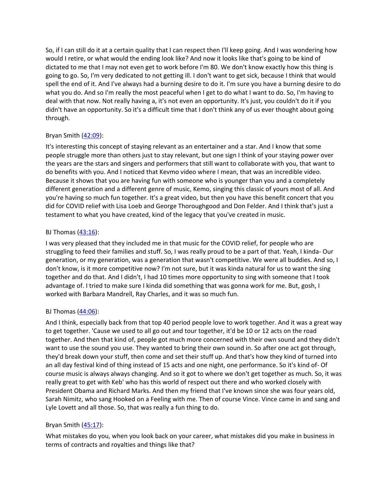So, if I can still do it at a certain quality that I can respect then I'll keep going. And I was wondering how would I retire, or what would the ending look like? And now it looks like that's going to be kind of dictated to me that I may not even get to work before I'm 80. We don't know exactly how this thing is going to go. So, I'm very dedicated to not getting ill. I don't want to get sick, because I think that would spell the end of it. And I've always had a burning desire to do it. I'm sure you have a burning desire to do what you do. And so I'm really the most peaceful when I get to do what I want to do. So, I'm having to deal with that now. Not really having a, it's not even an opportunity. It's just, you couldn't do it if you didn't have an opportunity. So it's a difficult time that I don't think any of us ever thought about going through.

# Bryan Smith  $(42:09)$  $(42:09)$  $(42:09)$ :

It's interesting this concept of staying relevant as an entertainer and a star. And I know that some people struggle more than others just to stay relevant, but one sign I think of your staying power over the years are the stars and singers and performers that still want to collaborate with you, that want to do benefits with you. And I noticed that Kevmo video where I mean, that was an incredible video. Because it shows that you are having fun with someone who is younger than you and a completely different generation and a different genre of music, Kemo, singing this classic of yours most of all. And you're having so much fun together. It's a great video, but then you have this benefit concert that you did for COVID relief with Lisa Loeb and George Thoroughgood and Don Felder. And I think that's just a testament to what you have created, kind of the legacy that you've created in music.

# BJ Thomas  $(43:16)$  $(43:16)$ :

I was very pleased that they included me in that music for the COVID relief, for people who are struggling to feed their families and stuff. So, I was really proud to be a part of that. Yeah, I kinda- Our generation, or my generation, was a generation that wasn't competitive. We were all buddies. And so, I don't know, is it more competitive now? I'm not sure, but it was kinda natural for us to want the sing together and do that. And I didn't, I had 10 times more opportunity to sing with someone that I took advantage of. I tried to make sure I kinda did something that was gonna work for me. But, gosh, I worked with Barbara Mandrell, Ray Charles, and it was so much fun.

# BJ Thomas [\(44:06](https://www.temi.com/editor/t/I6YgQ0diGy-RIPgai3bCgxPXOVrKo26uwwSGrP00bcLAFZ979o9iI5FJIP_dGEfrOYiufuCuqDnVcpM2pq3yz1HWuf8?loadFrom=DocumentDeeplink&ts=2646.37)):

And I think, especially back from that top 40 period people love to work together. And it was a great way to get together. 'Cause we used to all go out and tour together, it'd be 10 or 12 acts on the road together. And then that kind of, people got much more concerned with their own sound and they didn't want to use the sound you use. They wanted to bring their own sound in. So after one act got through, they'd break down your stuff, then come and set their stuff up. And that's how they kind of turned into an all day festival kind of thing instead of 15 acts and one night, one performance. So it's kind of- Of course music is always always changing. And so it got to where we don't get together as much. So, it was really great to get with Keb' who has this world of respect out there and who worked closely with President Obama and Richard Marks. And then my friend that I've known since she was four years old, Sarah Nimitz, who sang Hooked on a Feeling with me. Then of course Vince. Vince came in and sang and Lyle Lovett and all those. So, that was really a fun thing to do.

# Bryan Smith ([45:17](https://www.temi.com/editor/t/I6YgQ0diGy-RIPgai3bCgxPXOVrKo26uwwSGrP00bcLAFZ979o9iI5FJIP_dGEfrOYiufuCuqDnVcpM2pq3yz1HWuf8?loadFrom=DocumentDeeplink&ts=2717)):

What mistakes do you, when you look back on your career, what mistakes did you make in business in terms of contracts and royalties and things like that?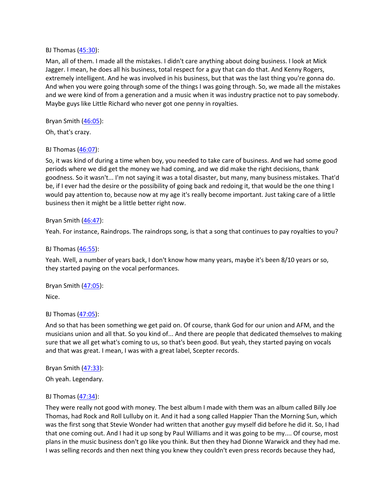#### BJ Thomas [\(45:30](https://www.temi.com/editor/t/I6YgQ0diGy-RIPgai3bCgxPXOVrKo26uwwSGrP00bcLAFZ979o9iI5FJIP_dGEfrOYiufuCuqDnVcpM2pq3yz1HWuf8?loadFrom=DocumentDeeplink&ts=2730.42)):

Man, all of them. I made all the mistakes. I didn't care anything about doing business. I look at Mick Jagger. I mean, he does all his business, total respect for a guy that can do that. And Kenny Rogers, extremely intelligent. And he was involved in his business, but that was the last thing you're gonna do. And when you were going through some of the things I was going through. So, we made all the mistakes and we were kind of from a generation and a music when it was industry practice not to pay somebody. Maybe guys like Little Richard who never got one penny in royalties.

### Bryan Smith ([46:05](https://www.temi.com/editor/t/I6YgQ0diGy-RIPgai3bCgxPXOVrKo26uwwSGrP00bcLAFZ979o9iI5FJIP_dGEfrOYiufuCuqDnVcpM2pq3yz1HWuf8?loadFrom=DocumentDeeplink&ts=2765.21)):

Oh, that's crazy.

### BJ Thomas [\(46:07](https://www.temi.com/editor/t/I6YgQ0diGy-RIPgai3bCgxPXOVrKo26uwwSGrP00bcLAFZ979o9iI5FJIP_dGEfrOYiufuCuqDnVcpM2pq3yz1HWuf8?loadFrom=DocumentDeeplink&ts=2767.52)):

So, it was kind of during a time when boy, you needed to take care of business. And we had some good periods where we did get the money we had coming, and we did make the right decisions, thank goodness. So it wasn't... I'm not saying it was a total disaster, but many, many business mistakes. That'd be, if I ever had the desire or the possibility of going back and redoing it, that would be the one thing I would pay attention to, because now at my age it's really become important. Just taking care of a little business then it might be a little better right now.

#### Bryan Smith ([46:47](https://www.temi.com/editor/t/I6YgQ0diGy-RIPgai3bCgxPXOVrKo26uwwSGrP00bcLAFZ979o9iI5FJIP_dGEfrOYiufuCuqDnVcpM2pq3yz1HWuf8?loadFrom=DocumentDeeplink&ts=2807.21)):

Yeah. For instance, Raindrops. The raindrops song, is that a song that continues to pay royalties to you?

#### BJ Thomas [\(46:55](https://www.temi.com/editor/t/I6YgQ0diGy-RIPgai3bCgxPXOVrKo26uwwSGrP00bcLAFZ979o9iI5FJIP_dGEfrOYiufuCuqDnVcpM2pq3yz1HWuf8?loadFrom=DocumentDeeplink&ts=2815.06)):

Yeah. Well, a number of years back, I don't know how many years, maybe it's been 8/10 years or so, they started paying on the vocal performances.

Bryan Smith  $(47:05)$  $(47:05)$  $(47:05)$ :

Nice.

### BJ Thomas [\(47:05](https://www.temi.com/editor/t/I6YgQ0diGy-RIPgai3bCgxPXOVrKo26uwwSGrP00bcLAFZ979o9iI5FJIP_dGEfrOYiufuCuqDnVcpM2pq3yz1HWuf8?loadFrom=DocumentDeeplink&ts=2825.75)):

And so that has been something we get paid on. Of course, thank God for our union and AFM, and the musicians union and all that. So you kind of... And there are people that dedicated themselves to making sure that we all get what's coming to us, so that's been good. But yeah, they started paying on vocals and that was great. I mean, I was with a great label, Scepter records.

Bryan Smith ([47:33](https://www.temi.com/editor/t/I6YgQ0diGy-RIPgai3bCgxPXOVrKo26uwwSGrP00bcLAFZ979o9iI5FJIP_dGEfrOYiufuCuqDnVcpM2pq3yz1HWuf8?loadFrom=DocumentDeeplink&ts=2853.4)):

Oh yeah. Legendary.

#### BJ Thomas [\(47:34](https://www.temi.com/editor/t/I6YgQ0diGy-RIPgai3bCgxPXOVrKo26uwwSGrP00bcLAFZ979o9iI5FJIP_dGEfrOYiufuCuqDnVcpM2pq3yz1HWuf8?loadFrom=DocumentDeeplink&ts=2854.66)):

They were really not good with money. The best album I made with them was an album called Billy Joe Thomas, had Rock and Roll Lulluby on it. And it had a song called Happier Than the Morning Sun, which was the first song that Stevie Wonder had written that another guy myself did before he did it. So, I had that one coming out. And I had it up song by Paul Williams and it was going to be my.... Of course, most plans in the music business don't go like you think. But then they had Dionne Warwick and they had me. I was selling records and then next thing you knew they couldn't even press records because they had,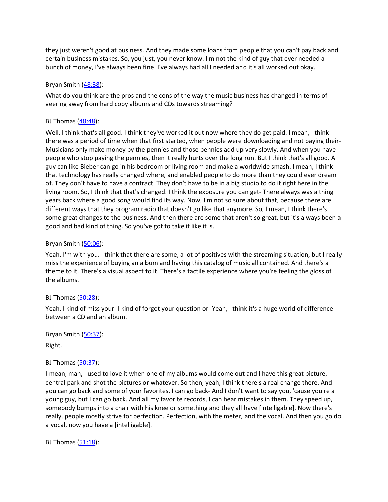they just weren't good at business. And they made some loans from people that you can't pay back and certain business mistakes. So, you just, you never know. I'm not the kind of guy that ever needed a bunch of money, I've always been fine. I've always had all I needed and it's all worked out okay.

# Bryan Smith ([48:38](https://www.temi.com/editor/t/I6YgQ0diGy-RIPgai3bCgxPXOVrKo26uwwSGrP00bcLAFZ979o9iI5FJIP_dGEfrOYiufuCuqDnVcpM2pq3yz1HWuf8?loadFrom=DocumentDeeplink&ts=2918.22)):

What do you think are the pros and the cons of the way the music business has changed in terms of veering away from hard copy albums and CDs towards streaming?

# BJ Thomas [\(48:48](https://www.temi.com/editor/t/I6YgQ0diGy-RIPgai3bCgxPXOVrKo26uwwSGrP00bcLAFZ979o9iI5FJIP_dGEfrOYiufuCuqDnVcpM2pq3yz1HWuf8?loadFrom=DocumentDeeplink&ts=2928.99)):

Well, I think that's all good. I think they've worked it out now where they do get paid. I mean, I think there was a period of time when that first started, when people were downloading and not paying their-Musicians only make money by the pennies and those pennies add up very slowly. And when you have people who stop paying the pennies, then it really hurts over the long run. But I think that's all good. A guy can like Bieber can go in his bedroom or living room and make a worldwide smash. I mean, I think that technology has really changed where, and enabled people to do more than they could ever dream of. They don't have to have a contract. They don't have to be in a big studio to do it right here in the living room. So, I think that that's changed. I think the exposure you can get- There always was a thing years back where a good song would find its way. Now, I'm not so sure about that, because there are different ways that they program radio that doesn't go like that anymore. So, I mean, I think there's some great changes to the business. And then there are some that aren't so great, but it's always been a good and bad kind of thing. So you've got to take it like it is.

# Bryan Smith ([50:06](https://www.temi.com/editor/t/I6YgQ0diGy-RIPgai3bCgxPXOVrKo26uwwSGrP00bcLAFZ979o9iI5FJIP_dGEfrOYiufuCuqDnVcpM2pq3yz1HWuf8?loadFrom=DocumentDeeplink&ts=3006.03)):

Yeah. I'm with you. I think that there are some, a lot of positives with the streaming situation, but I really miss the experience of buying an album and having this catalog of music all contained. And there's a theme to it. There's a visual aspect to it. There's a tactile experience where you're feeling the gloss of the albums.

### BJ Thomas [\(50:28](https://www.temi.com/editor/t/I6YgQ0diGy-RIPgai3bCgxPXOVrKo26uwwSGrP00bcLAFZ979o9iI5FJIP_dGEfrOYiufuCuqDnVcpM2pq3yz1HWuf8?loadFrom=DocumentDeeplink&ts=3028.19)):

Yeah, I kind of miss your- I kind of forgot your question or- Yeah, I think it's a huge world of difference between a CD and an album.

Bryan Smith ([50:37](https://www.temi.com/editor/t/I6YgQ0diGy-RIPgai3bCgxPXOVrKo26uwwSGrP00bcLAFZ979o9iI5FJIP_dGEfrOYiufuCuqDnVcpM2pq3yz1HWuf8?loadFrom=DocumentDeeplink&ts=3037.01)):

Right.

### BJ Thomas [\(50:37](https://www.temi.com/editor/t/I6YgQ0diGy-RIPgai3bCgxPXOVrKo26uwwSGrP00bcLAFZ979o9iI5FJIP_dGEfrOYiufuCuqDnVcpM2pq3yz1HWuf8?loadFrom=DocumentDeeplink&ts=3037.011)):

I mean, man, I used to love it when one of my albums would come out and I have this great picture, central park and shot the pictures or whatever. So then, yeah, I think there's a real change there. And you can go back and some of your favorites, I can go back- And I don't want to say you, 'cause you're a young guy, but I can go back. And all my favorite records, I can hear mistakes in them. They speed up, somebody bumps into a chair with his knee or something and they all have [intelligable]. Now there's really, people mostly strive for perfection. Perfection, with the meter, and the vocal. And then you go do a vocal, now you have a [intelligable].

BJ Thomas  $(51:18)$  $(51:18)$ :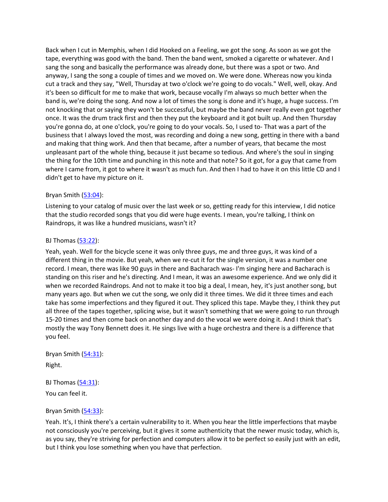Back when I cut in Memphis, when I did Hooked on a Feeling, we got the song. As soon as we got the tape, everything was good with the band. Then the band went, smoked a cigarette or whatever. And I sang the song and basically the performance was already done, but there was a spot or two. And anyway, I sang the song a couple of times and we moved on. We were done. Whereas now you kinda cut a track and they say, "Well, Thursday at two o'clock we're going to do vocals." Well, well, okay. And it's been so difficult for me to make that work, because vocally I'm always so much better when the band is, we're doing the song. And now a lot of times the song is done and it's huge, a huge success. I'm not knocking that or saying they won't be successful, but maybe the band never really even got together once. It was the drum track first and then they put the keyboard and it got built up. And then Thursday you're gonna do, at one o'clock, you're going to do your vocals. So, I used to- That was a part of the business that I always loved the most, was recording and doing a new song, getting in there with a band and making that thing work. And then that became, after a number of years, that became the most unpleasant part of the whole thing, because it just became so tedious. And where's the soul in singing the thing for the 10th time and punching in this note and that note? So it got, for a guy that came from where I came from, it got to where it wasn't as much fun. And then I had to have it on this little CD and I didn't get to have my picture on it.

#### Bryan Smith  $(53:04)$  $(53:04)$  $(53:04)$ :

Listening to your catalog of music over the last week or so, getting ready for this interview, I did notice that the studio recorded songs that you did were huge events. I mean, you're talking, I think on Raindrops, it was like a hundred musicians, wasn't it?

#### BJ Thomas  $(53:22)$  $(53:22)$ :

Yeah, yeah. Well for the bicycle scene it was only three guys, me and three guys, it was kind of a different thing in the movie. But yeah, when we re-cut it for the single version, it was a number one record. I mean, there was like 90 guys in there and Bacharach was- I'm singing here and Bacharach is standing on this riser and he's directing. And I mean, it was an awesome experience. And we only did it when we recorded Raindrops. And not to make it too big a deal, I mean, hey, it's just another song, but many years ago. But when we cut the song, we only did it three times. We did it three times and each take has some imperfections and they figured it out. They spliced this tape. Maybe they, I think they put all three of the tapes together, splicing wise, but it wasn't something that we were going to run through 15-20 times and then come back on another day and do the vocal we were doing it. And I think that's mostly the way Tony Bennett does it. He sings live with a huge orchestra and there is a difference that you feel.

Bryan Smith  $(54:31)$  $(54:31)$  $(54:31)$ : Right.

BJ Thomas [\(54:31](https://www.temi.com/editor/t/I6YgQ0diGy-RIPgai3bCgxPXOVrKo26uwwSGrP00bcLAFZ979o9iI5FJIP_dGEfrOYiufuCuqDnVcpM2pq3yz1HWuf8?loadFrom=DocumentDeeplink&ts=3271.71)):

You can feel it.

### Bryan Smith ([54:33](https://www.temi.com/editor/t/I6YgQ0diGy-RIPgai3bCgxPXOVrKo26uwwSGrP00bcLAFZ979o9iI5FJIP_dGEfrOYiufuCuqDnVcpM2pq3yz1HWuf8?loadFrom=DocumentDeeplink&ts=3273.47)):

Yeah. It's, I think there's a certain vulnerability to it. When you hear the little imperfections that maybe not consciously you're perceiving, but it gives it some authenticity that the newer music today, which is, as you say, they're striving for perfection and computers allow it to be perfect so easily just with an edit, but I think you lose something when you have that perfection.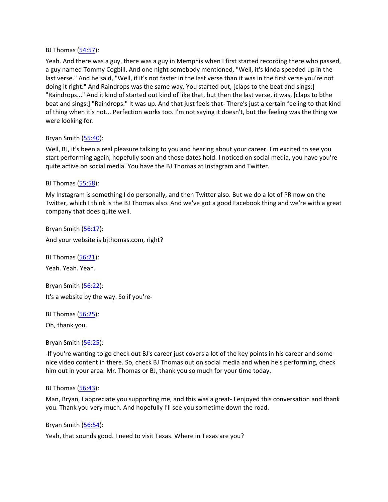#### BJ Thomas [\(54:57](https://www.temi.com/editor/t/I6YgQ0diGy-RIPgai3bCgxPXOVrKo26uwwSGrP00bcLAFZ979o9iI5FJIP_dGEfrOYiufuCuqDnVcpM2pq3yz1HWuf8?loadFrom=DocumentDeeplink&ts=3297.32)):

Yeah. And there was a guy, there was a guy in Memphis when I first started recording there who passed, a guy named Tommy Cogbill. And one night somebody mentioned, "Well, it's kinda speeded up in the last verse." And he said, "Well, if it's not faster in the last verse than it was in the first verse you're not doing it right." And Raindrops was the same way. You started out, [claps to the beat and sings:] "Raindrops..." And it kind of started out kind of like that, but then the last verse, it was, [claps to bthe beat and sings:] "Raindrops." It was up. And that just feels that- There's just a certain feeling to that kind of thing when it's not... Perfection works too. I'm not saying it doesn't, but the feeling was the thing we were looking for.

### Bryan Smith ([55:40](https://www.temi.com/editor/t/I6YgQ0diGy-RIPgai3bCgxPXOVrKo26uwwSGrP00bcLAFZ979o9iI5FJIP_dGEfrOYiufuCuqDnVcpM2pq3yz1HWuf8?loadFrom=DocumentDeeplink&ts=3340.64)):

Well, BJ, it's been a real pleasure talking to you and hearing about your career. I'm excited to see you start performing again, hopefully soon and those dates hold. I noticed on social media, you have you're quite active on social media. You have the BJ Thomas at Instagram and Twitter.

### BJ Thomas [\(55:58](https://www.temi.com/editor/t/I6YgQ0diGy-RIPgai3bCgxPXOVrKo26uwwSGrP00bcLAFZ979o9iI5FJIP_dGEfrOYiufuCuqDnVcpM2pq3yz1HWuf8?loadFrom=DocumentDeeplink&ts=3358.55)):

My Instagram is something I do personally, and then Twitter also. But we do a lot of PR now on the Twitter, which I think is the BJ Thomas also. And we've got a good Facebook thing and we're with a great company that does quite well.

Bryan Smith ([56:17](https://www.temi.com/editor/t/I6YgQ0diGy-RIPgai3bCgxPXOVrKo26uwwSGrP00bcLAFZ979o9iI5FJIP_dGEfrOYiufuCuqDnVcpM2pq3yz1HWuf8?loadFrom=DocumentDeeplink&ts=3377.78)): And your website is bjthomas.com, right?

BJ Thomas [\(56:21](https://www.temi.com/editor/t/I6YgQ0diGy-RIPgai3bCgxPXOVrKo26uwwSGrP00bcLAFZ979o9iI5FJIP_dGEfrOYiufuCuqDnVcpM2pq3yz1HWuf8?loadFrom=DocumentDeeplink&ts=3381.23)): Yeah. Yeah. Yeah.

Bryan Smith ([56:22](https://www.temi.com/editor/t/I6YgQ0diGy-RIPgai3bCgxPXOVrKo26uwwSGrP00bcLAFZ979o9iI5FJIP_dGEfrOYiufuCuqDnVcpM2pq3yz1HWuf8?loadFrom=DocumentDeeplink&ts=3382.82)): It's a website by the way. So if you're-

BJ Thomas [\(56:25](https://www.temi.com/editor/t/I6YgQ0diGy-RIPgai3bCgxPXOVrKo26uwwSGrP00bcLAFZ979o9iI5FJIP_dGEfrOYiufuCuqDnVcpM2pq3yz1HWuf8?loadFrom=DocumentDeeplink&ts=3385.33)):

Oh, thank you.

Bryan Smith ([56:25](https://www.temi.com/editor/t/I6YgQ0diGy-RIPgai3bCgxPXOVrKo26uwwSGrP00bcLAFZ979o9iI5FJIP_dGEfrOYiufuCuqDnVcpM2pq3yz1HWuf8?loadFrom=DocumentDeeplink&ts=3385.33)):

-If you're wanting to go check out BJ's career just covers a lot of the key points in his career and some nice video content in there. So, check BJ Thomas out on social media and when he's performing, check him out in your area. Mr. Thomas or BJ, thank you so much for your time today.

BJ Thomas [\(56:43](https://www.temi.com/editor/t/I6YgQ0diGy-RIPgai3bCgxPXOVrKo26uwwSGrP00bcLAFZ979o9iI5FJIP_dGEfrOYiufuCuqDnVcpM2pq3yz1HWuf8?loadFrom=DocumentDeeplink&ts=3403.87)):

Man, Bryan, I appreciate you supporting me, and this was a great- I enjoyed this conversation and thank you. Thank you very much. And hopefully I'll see you sometime down the road.

Bryan Smith ([56:54](https://www.temi.com/editor/t/I6YgQ0diGy-RIPgai3bCgxPXOVrKo26uwwSGrP00bcLAFZ979o9iI5FJIP_dGEfrOYiufuCuqDnVcpM2pq3yz1HWuf8?loadFrom=DocumentDeeplink&ts=3414.91)):

Yeah, that sounds good. I need to visit Texas. Where in Texas are you?